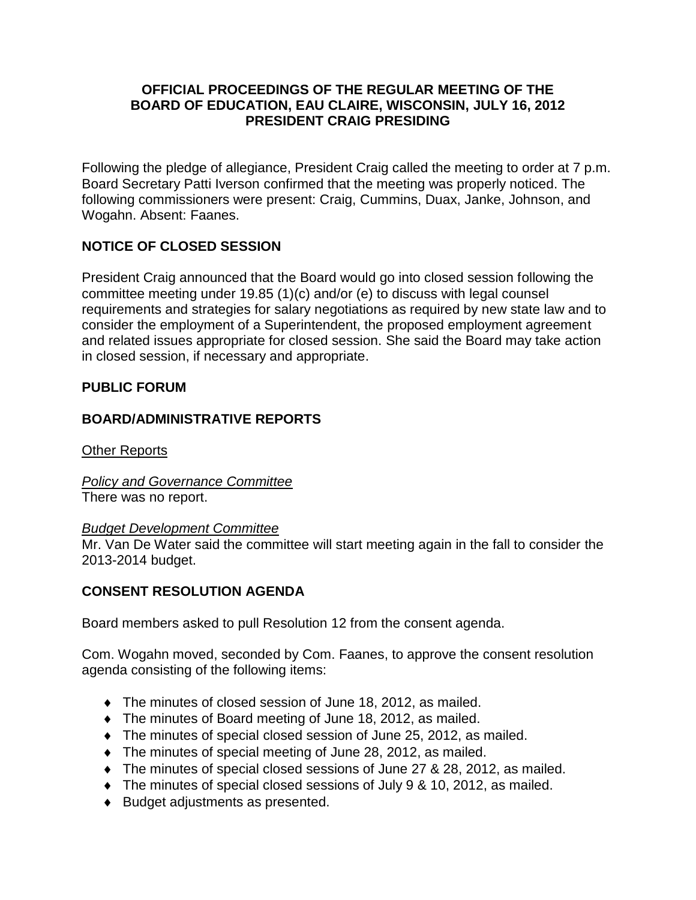#### **OFFICIAL PROCEEDINGS OF THE REGULAR MEETING OF THE BOARD OF EDUCATION, EAU CLAIRE, WISCONSIN, JULY 16, 2012 PRESIDENT CRAIG PRESIDING**

Following the pledge of allegiance, President Craig called the meeting to order at 7 p.m. Board Secretary Patti Iverson confirmed that the meeting was properly noticed. The following commissioners were present: Craig, Cummins, Duax, Janke, Johnson, and Wogahn. Absent: Faanes.

## **NOTICE OF CLOSED SESSION**

President Craig announced that the Board would go into closed session following the committee meeting under 19.85 (1)(c) and/or (e) to discuss with legal counsel requirements and strategies for salary negotiations as required by new state law and to consider the employment of a Superintendent, the proposed employment agreement and related issues appropriate for closed session. She said the Board may take action in closed session, if necessary and appropriate.

## **PUBLIC FORUM**

## **BOARD/ADMINISTRATIVE REPORTS**

Other Reports

*Policy and Governance Committee* There was no report.

#### *Budget Development Committee*

Mr. Van De Water said the committee will start meeting again in the fall to consider the 2013-2014 budget.

## **CONSENT RESOLUTION AGENDA**

Board members asked to pull Resolution 12 from the consent agenda.

Com. Wogahn moved, seconded by Com. Faanes, to approve the consent resolution agenda consisting of the following items:

- The minutes of closed session of June 18, 2012, as mailed.
- The minutes of Board meeting of June 18, 2012, as mailed.
- The minutes of special closed session of June 25, 2012, as mailed.
- The minutes of special meeting of June 28, 2012, as mailed.
- The minutes of special closed sessions of June 27 & 28, 2012, as mailed.
- The minutes of special closed sessions of July 9 & 10, 2012, as mailed.
- ◆ Budget adjustments as presented.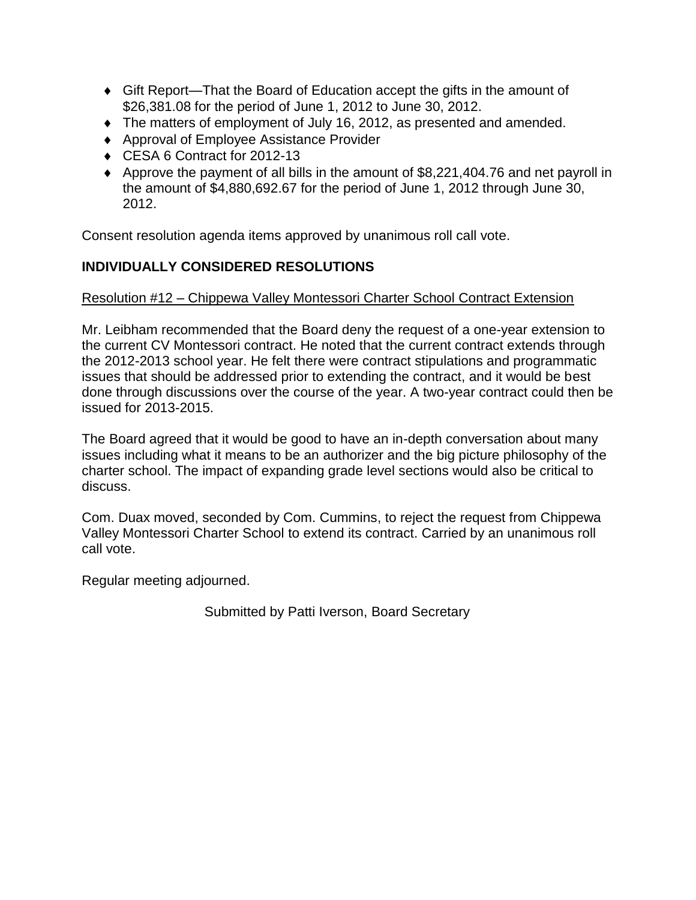- Gift Report—That the Board of Education accept the gifts in the amount of \$26,381.08 for the period of June 1, 2012 to June 30, 2012.
- The matters of employment of July 16, 2012, as presented and amended.
- ◆ Approval of Employee Assistance Provider
- ◆ CESA 6 Contract for 2012-13
- Approve the payment of all bills in the amount of \$8,221,404.76 and net payroll in the amount of \$4,880,692.67 for the period of June 1, 2012 through June 30, 2012.

Consent resolution agenda items approved by unanimous roll call vote.

# **INDIVIDUALLY CONSIDERED RESOLUTIONS**

#### Resolution #12 – Chippewa Valley Montessori Charter School Contract Extension

Mr. Leibham recommended that the Board deny the request of a one-year extension to the current CV Montessori contract. He noted that the current contract extends through the 2012-2013 school year. He felt there were contract stipulations and programmatic issues that should be addressed prior to extending the contract, and it would be best done through discussions over the course of the year. A two-year contract could then be issued for 2013-2015.

The Board agreed that it would be good to have an in-depth conversation about many issues including what it means to be an authorizer and the big picture philosophy of the charter school. The impact of expanding grade level sections would also be critical to discuss.

Com. Duax moved, seconded by Com. Cummins, to reject the request from Chippewa Valley Montessori Charter School to extend its contract. Carried by an unanimous roll call vote.

Regular meeting adjourned.

Submitted by Patti Iverson, Board Secretary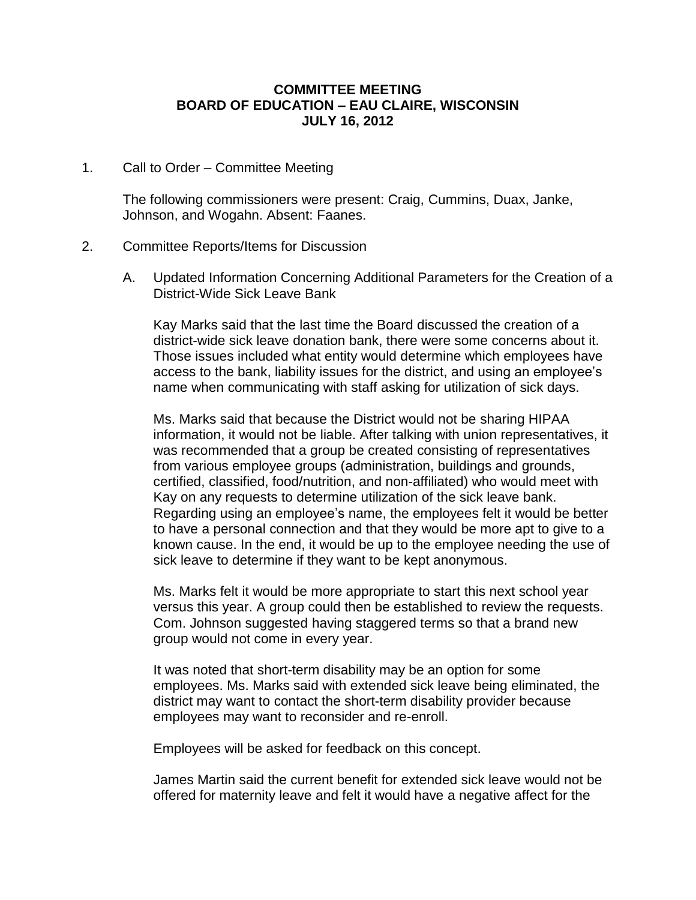#### **COMMITTEE MEETING BOARD OF EDUCATION – EAU CLAIRE, WISCONSIN JULY 16, 2012**

1. Call to Order – Committee Meeting

The following commissioners were present: Craig, Cummins, Duax, Janke, Johnson, and Wogahn. Absent: Faanes.

#### 2. Committee Reports/Items for Discussion

A. Updated Information Concerning Additional Parameters for the Creation of a District-Wide Sick Leave Bank

Kay Marks said that the last time the Board discussed the creation of a district-wide sick leave donation bank, there were some concerns about it. Those issues included what entity would determine which employees have access to the bank, liability issues for the district, and using an employee's name when communicating with staff asking for utilization of sick days.

Ms. Marks said that because the District would not be sharing HIPAA information, it would not be liable. After talking with union representatives, it was recommended that a group be created consisting of representatives from various employee groups (administration, buildings and grounds, certified, classified, food/nutrition, and non-affiliated) who would meet with Kay on any requests to determine utilization of the sick leave bank. Regarding using an employee's name, the employees felt it would be better to have a personal connection and that they would be more apt to give to a known cause. In the end, it would be up to the employee needing the use of sick leave to determine if they want to be kept anonymous.

Ms. Marks felt it would be more appropriate to start this next school year versus this year. A group could then be established to review the requests. Com. Johnson suggested having staggered terms so that a brand new group would not come in every year.

It was noted that short-term disability may be an option for some employees. Ms. Marks said with extended sick leave being eliminated, the district may want to contact the short-term disability provider because employees may want to reconsider and re-enroll.

Employees will be asked for feedback on this concept.

James Martin said the current benefit for extended sick leave would not be offered for maternity leave and felt it would have a negative affect for the